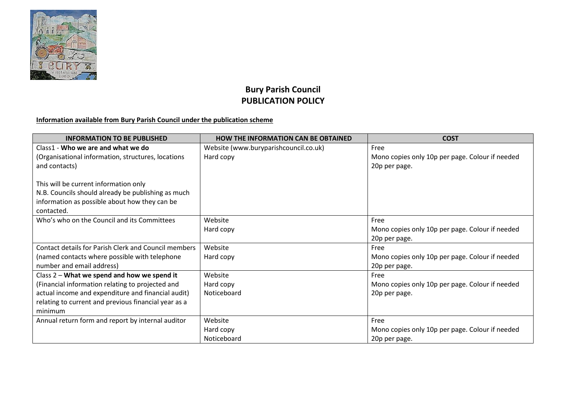

## **Bury Parish Council PUBLICATION POLICY**

## **Information available from Bury Parish Council under the publication scheme**

| <b>INFORMATION TO BE PUBLISHED</b>                   | <b>HOW THE INFORMATION CAN BE OBTAINED</b> | <b>COST</b>                                     |
|------------------------------------------------------|--------------------------------------------|-------------------------------------------------|
| Class1 - Who we are and what we do                   | Website (www.buryparishcouncil.co.uk)      | Free                                            |
| (Organisational information, structures, locations   | Hard copy                                  | Mono copies only 10p per page. Colour if needed |
| and contacts)                                        |                                            | 20p per page.                                   |
|                                                      |                                            |                                                 |
| This will be current information only                |                                            |                                                 |
| N.B. Councils should already be publishing as much   |                                            |                                                 |
| information as possible about how they can be        |                                            |                                                 |
| contacted.                                           |                                            |                                                 |
| Who's who on the Council and its Committees          | Website                                    | Free                                            |
|                                                      | Hard copy                                  | Mono copies only 10p per page. Colour if needed |
|                                                      |                                            | 20p per page.                                   |
| Contact details for Parish Clerk and Council members | Website                                    | Free                                            |
| (named contacts where possible with telephone        | Hard copy                                  | Mono copies only 10p per page. Colour if needed |
| number and email address)                            |                                            | 20p per page.                                   |
| Class 2 - What we spend and how we spend it          | Website                                    | Free                                            |
| (Financial information relating to projected and     | Hard copy                                  | Mono copies only 10p per page. Colour if needed |
| actual income and expenditure and financial audit)   | Noticeboard                                | 20p per page.                                   |
| relating to current and previous financial year as a |                                            |                                                 |
| minimum                                              |                                            |                                                 |
| Annual return form and report by internal auditor    | Website                                    | Free                                            |
|                                                      | Hard copy                                  | Mono copies only 10p per page. Colour if needed |
|                                                      | Noticeboard                                | 20p per page.                                   |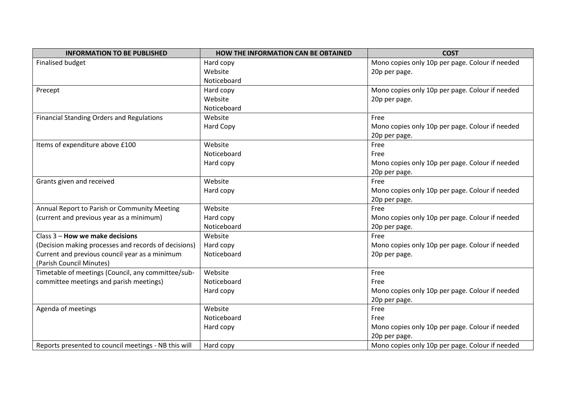| <b>INFORMATION TO BE PUBLISHED</b>                   | <b>HOW THE INFORMATION CAN BE OBTAINED</b> | <b>COST</b>                                     |
|------------------------------------------------------|--------------------------------------------|-------------------------------------------------|
| <b>Finalised budget</b>                              | Hard copy                                  | Mono copies only 10p per page. Colour if needed |
|                                                      | Website                                    | 20p per page.                                   |
|                                                      | Noticeboard                                |                                                 |
| Precept                                              | Hard copy                                  | Mono copies only 10p per page. Colour if needed |
|                                                      | Website                                    | 20p per page.                                   |
|                                                      | Noticeboard                                |                                                 |
| <b>Financial Standing Orders and Regulations</b>     | Website                                    | Free                                            |
|                                                      | <b>Hard Copy</b>                           | Mono copies only 10p per page. Colour if needed |
|                                                      |                                            | 20p per page.                                   |
| Items of expenditure above £100                      | Website                                    | Free                                            |
|                                                      | Noticeboard                                | Free                                            |
|                                                      | Hard copy                                  | Mono copies only 10p per page. Colour if needed |
|                                                      |                                            | 20p per page.                                   |
| Grants given and received                            | Website                                    | Free                                            |
|                                                      | Hard copy                                  | Mono copies only 10p per page. Colour if needed |
|                                                      |                                            | 20p per page.                                   |
| Annual Report to Parish or Community Meeting         | Website                                    | Free                                            |
| (current and previous year as a minimum)             | Hard copy                                  | Mono copies only 10p per page. Colour if needed |
|                                                      | Noticeboard                                | 20p per page.                                   |
| Class 3 - How we make decisions                      | Website                                    | Free                                            |
| (Decision making processes and records of decisions) | Hard copy                                  | Mono copies only 10p per page. Colour if needed |
| Current and previous council year as a minimum       | Noticeboard                                | 20p per page.                                   |
| (Parish Council Minutes)                             |                                            |                                                 |
| Timetable of meetings (Council, any committee/sub-   | Website                                    | Free                                            |
| committee meetings and parish meetings)              | Noticeboard                                | Free                                            |
|                                                      | Hard copy                                  | Mono copies only 10p per page. Colour if needed |
|                                                      |                                            | 20p per page.                                   |
| Agenda of meetings                                   | Website                                    | Free                                            |
|                                                      | Noticeboard                                | Free                                            |
|                                                      | Hard copy                                  | Mono copies only 10p per page. Colour if needed |
|                                                      |                                            | 20p per page.                                   |
| Reports presented to council meetings - NB this will | Hard copy                                  | Mono copies only 10p per page. Colour if needed |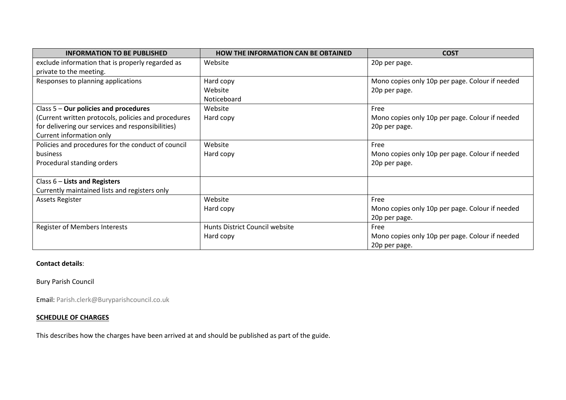| <b>INFORMATION TO BE PUBLISHED</b>                  | <b>HOW THE INFORMATION CAN BE OBTAINED</b> | <b>COST</b>                                     |
|-----------------------------------------------------|--------------------------------------------|-------------------------------------------------|
| exclude information that is properly regarded as    | Website                                    | 20p per page.                                   |
| private to the meeting.                             |                                            |                                                 |
| Responses to planning applications                  | Hard copy                                  | Mono copies only 10p per page. Colour if needed |
|                                                     | Website                                    | 20p per page.                                   |
|                                                     | Noticeboard                                |                                                 |
| Class $5$ – Our policies and procedures             | Website                                    | Free                                            |
| (Current written protocols, policies and procedures | Hard copy                                  | Mono copies only 10p per page. Colour if needed |
| for delivering our services and responsibilities)   |                                            | 20p per page.                                   |
| Current information only                            |                                            |                                                 |
| Policies and procedures for the conduct of council  | Website                                    | Free                                            |
| business                                            | Hard copy                                  | Mono copies only 10p per page. Colour if needed |
| Procedural standing orders                          |                                            | 20p per page.                                   |
|                                                     |                                            |                                                 |
| Class $6$ – Lists and Registers                     |                                            |                                                 |
| Currently maintained lists and registers only       |                                            |                                                 |
| <b>Assets Register</b>                              | Website                                    | Free                                            |
|                                                     | Hard copy                                  | Mono copies only 10p per page. Colour if needed |
|                                                     |                                            | 20p per page.                                   |
| <b>Register of Members Interests</b>                | Hunts District Council website             | Free                                            |
|                                                     | Hard copy                                  | Mono copies only 10p per page. Colour if needed |
|                                                     |                                            | 20p per page.                                   |

## **Contact details**:

Bury Parish Council

Email: Parish.clerk@Buryparishcouncil.co.uk

## **SCHEDULE OF CHARGES**

This describes how the charges have been arrived at and should be published as part of the guide.